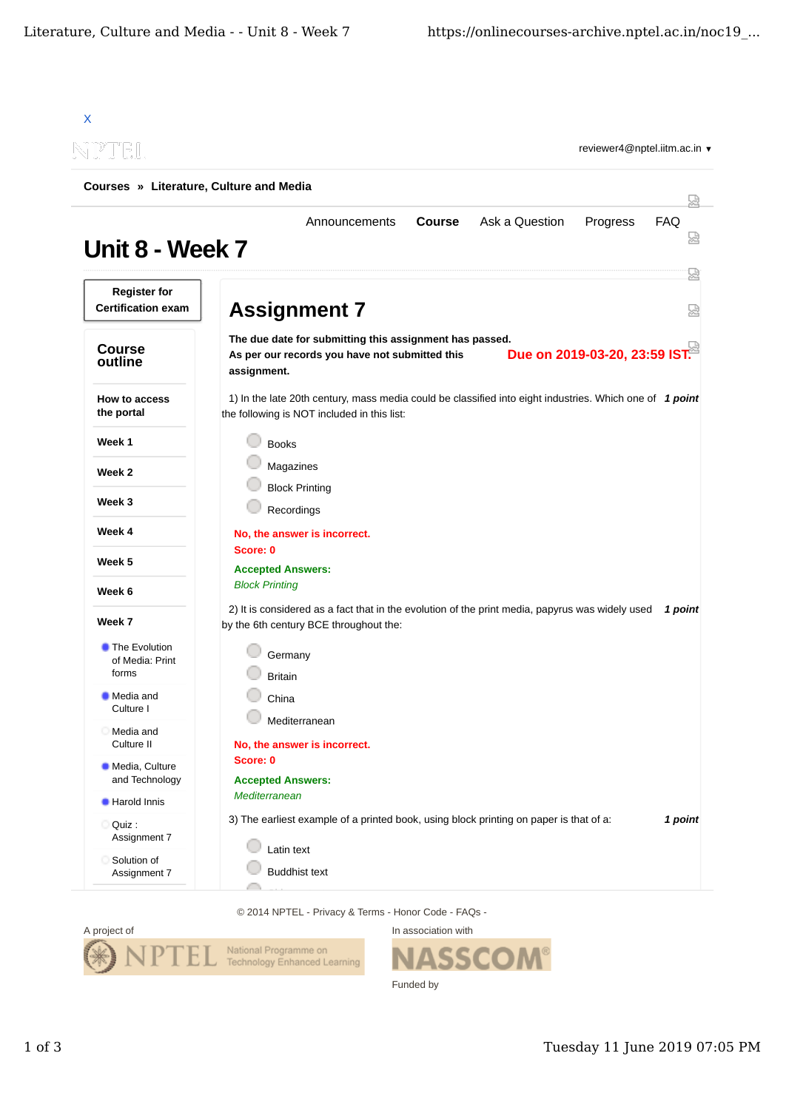| NPTEL<br>reviewer4@nptel.iitm.ac.in ▼<br>Courses » Literature, Culture and Media<br>닜 |                                                                                                                                                        |         |  |
|---------------------------------------------------------------------------------------|--------------------------------------------------------------------------------------------------------------------------------------------------------|---------|--|
|                                                                                       |                                                                                                                                                        |         |  |
| <b>Register for</b><br><b>Certification exam</b>                                      | <b>Assignment 7</b>                                                                                                                                    | 덣<br>덣  |  |
|                                                                                       | The due date for submitting this assignment has passed.                                                                                                |         |  |
| <b>Course</b><br>outline                                                              | Due on 2019-03-20, 23:59 IST.<br>As per our records you have not submitted this<br>assignment.                                                         |         |  |
| How to access<br>the portal                                                           | 1) In the late 20th century, mass media could be classified into eight industries. Which one of 1 point<br>the following is NOT included in this list: |         |  |
| Week 1                                                                                | <b>Books</b>                                                                                                                                           |         |  |
| Week 2                                                                                | Magazines                                                                                                                                              |         |  |
|                                                                                       | <b>Block Printing</b>                                                                                                                                  |         |  |
| Week 3                                                                                | Recordings                                                                                                                                             |         |  |
| Week 4                                                                                | No, the answer is incorrect.                                                                                                                           |         |  |
| Week 5                                                                                | Score: 0<br><b>Accepted Answers:</b>                                                                                                                   |         |  |
| Week 6                                                                                | <b>Block Printing</b>                                                                                                                                  |         |  |
| Week 7                                                                                | 2) It is considered as a fact that in the evolution of the print media, papyrus was widely used<br>by the 6th century BCE throughout the:              | 1 point |  |
| The Evolution<br>of Media: Print                                                      | Germany                                                                                                                                                |         |  |
| forms                                                                                 | <b>Britain</b>                                                                                                                                         |         |  |
| Media and<br>Culture I                                                                | China                                                                                                                                                  |         |  |
| Media and<br>ĸ<br>Culture II                                                          | Mediterranean<br>No, the answer is incorrect.                                                                                                          |         |  |
| Media, Culture<br>and Technology                                                      | Score: 0<br><b>Accepted Answers:</b>                                                                                                                   |         |  |
| <b>Harold Innis</b>                                                                   | Mediterranean                                                                                                                                          |         |  |
| Ouiz:<br>Assignment 7                                                                 | 3) The earliest example of a printed book, using block printing on paper is that of a:                                                                 | 1 point |  |
| Solution of<br>Assignment 7                                                           | Latin text<br><b>Buddhist text</b>                                                                                                                     |         |  |

© 2014 NPTEL - Privacy & Terms - Honor Code - FAQs -



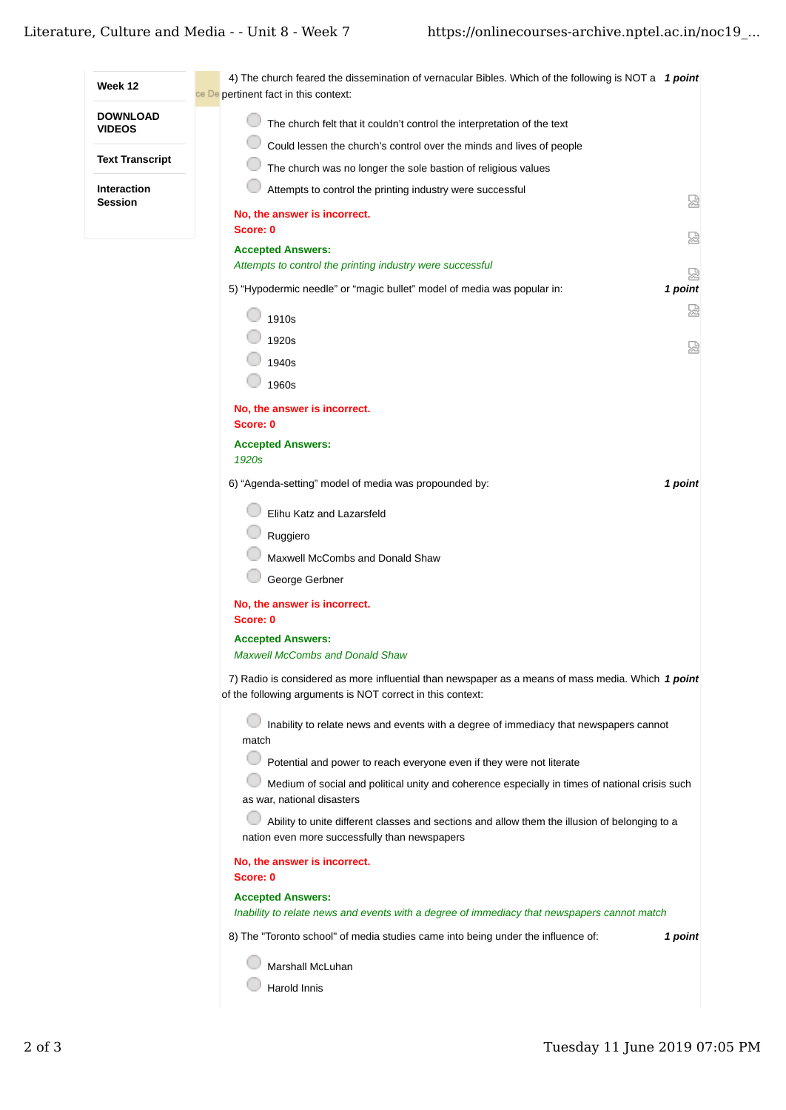